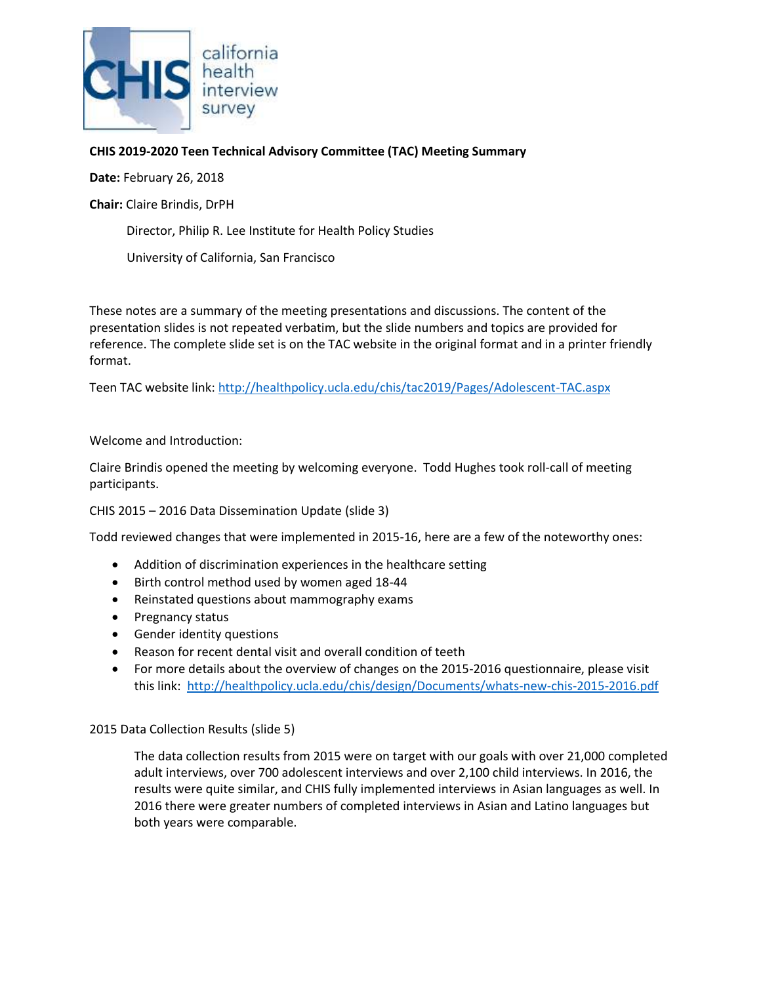

# **CHIS 2019-2020 Teen Technical Advisory Committee (TAC) Meeting Summary**

**Date:** February 26, 2018

**Chair:** Claire Brindis, DrPH

Director, Philip R. Lee Institute for Health Policy Studies

University of California, San Francisco

These notes are a summary of the meeting presentations and discussions. The content of the presentation slides is not repeated verbatim, but the slide numbers and topics are provided for reference. The complete slide set is on the TAC website in the original format and in a printer friendly format.

Teen TAC website link: <http://healthpolicy.ucla.edu/chis/tac2019/Pages/Adolescent-TAC.aspx>

## Welcome and Introduction:

Claire Brindis opened the meeting by welcoming everyone. Todd Hughes took roll-call of meeting participants.

CHIS 2015 – 2016 Data Dissemination Update (slide 3)

Todd reviewed changes that were implemented in 2015-16, here are a few of the noteworthy ones:

- Addition of discrimination experiences in the healthcare setting
- Birth control method used by women aged 18-44
- Reinstated questions about mammography exams
- Pregnancy status
- Gender identity questions
- Reason for recent dental visit and overall condition of teeth
- For more details about the overview of changes on the 2015-2016 questionnaire, please visit this link:<http://healthpolicy.ucla.edu/chis/design/Documents/whats-new-chis-2015-2016.pdf>

#### 2015 Data Collection Results (slide 5)

The data collection results from 2015 were on target with our goals with over 21,000 completed adult interviews, over 700 adolescent interviews and over 2,100 child interviews. In 2016, the results were quite similar, and CHIS fully implemented interviews in Asian languages as well. In 2016 there were greater numbers of completed interviews in Asian and Latino languages but both years were comparable.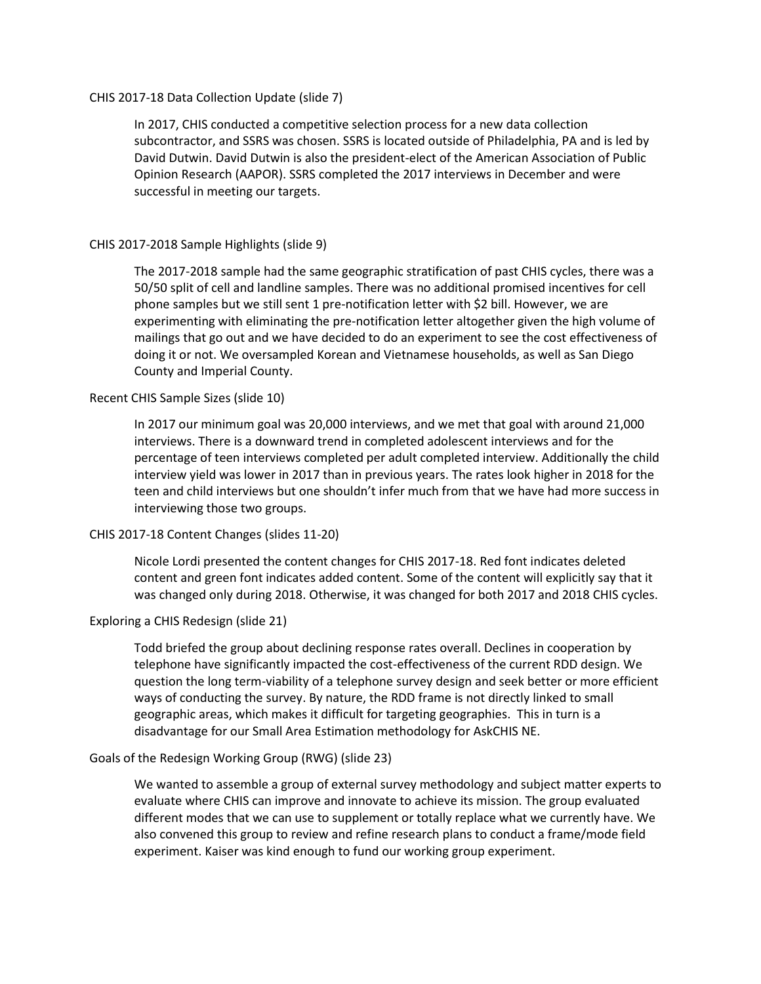#### CHIS 2017-18 Data Collection Update (slide 7)

In 2017, CHIS conducted a competitive selection process for a new data collection subcontractor, and SSRS was chosen. SSRS is located outside of Philadelphia, PA and is led by David Dutwin. David Dutwin is also the president-elect of the American Association of Public Opinion Research (AAPOR). SSRS completed the 2017 interviews in December and were successful in meeting our targets.

## CHIS 2017-2018 Sample Highlights (slide 9)

The 2017-2018 sample had the same geographic stratification of past CHIS cycles, there was a 50/50 split of cell and landline samples. There was no additional promised incentives for cell phone samples but we still sent 1 pre-notification letter with \$2 bill. However, we are experimenting with eliminating the pre-notification letter altogether given the high volume of mailings that go out and we have decided to do an experiment to see the cost effectiveness of doing it or not. We oversampled Korean and Vietnamese households, as well as San Diego County and Imperial County.

## Recent CHIS Sample Sizes (slide 10)

In 2017 our minimum goal was 20,000 interviews, and we met that goal with around 21,000 interviews. There is a downward trend in completed adolescent interviews and for the percentage of teen interviews completed per adult completed interview. Additionally the child interview yield was lower in 2017 than in previous years. The rates look higher in 2018 for the teen and child interviews but one shouldn't infer much from that we have had more success in interviewing those two groups.

# CHIS 2017-18 Content Changes (slides 11-20)

Nicole Lordi presented the content changes for CHIS 2017-18. Red font indicates deleted content and green font indicates added content. Some of the content will explicitly say that it was changed only during 2018. Otherwise, it was changed for both 2017 and 2018 CHIS cycles.

# Exploring a CHIS Redesign (slide 21)

Todd briefed the group about declining response rates overall. Declines in cooperation by telephone have significantly impacted the cost-effectiveness of the current RDD design. We question the long term-viability of a telephone survey design and seek better or more efficient ways of conducting the survey. By nature, the RDD frame is not directly linked to small geographic areas, which makes it difficult for targeting geographies. This in turn is a disadvantage for our Small Area Estimation methodology for AskCHIS NE.

#### Goals of the Redesign Working Group (RWG) (slide 23)

We wanted to assemble a group of external survey methodology and subject matter experts to evaluate where CHIS can improve and innovate to achieve its mission. The group evaluated different modes that we can use to supplement or totally replace what we currently have. We also convened this group to review and refine research plans to conduct a frame/mode field experiment. Kaiser was kind enough to fund our working group experiment.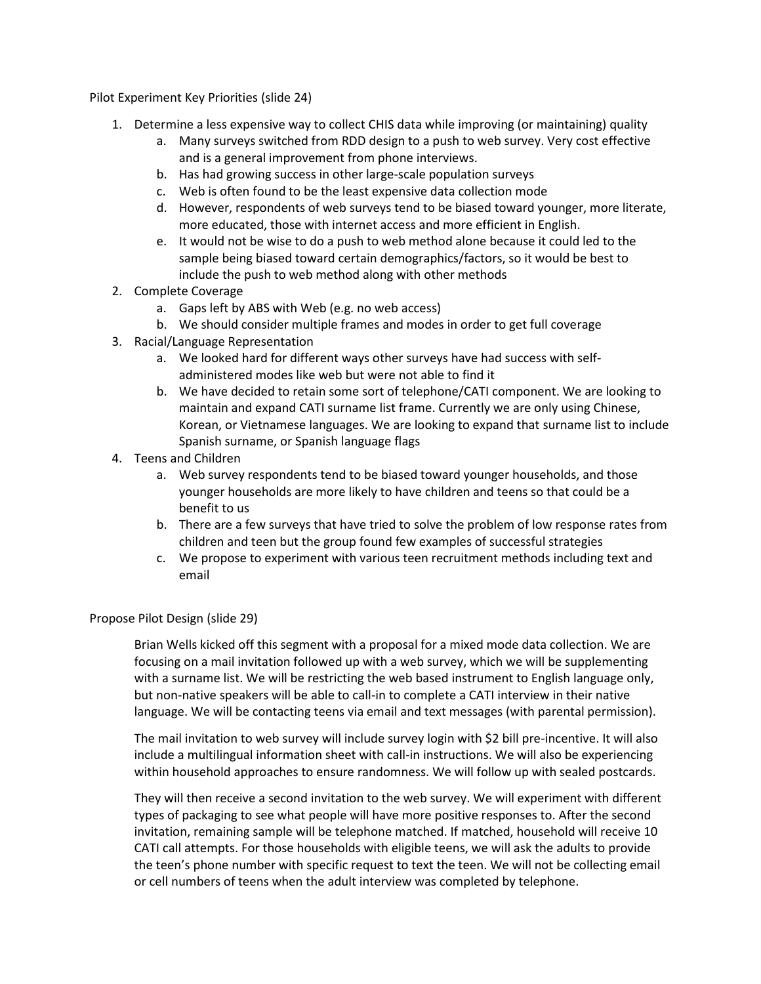Pilot Experiment Key Priorities (slide 24)

- 1. Determine a less expensive way to collect CHIS data while improving (or maintaining) quality
	- a. Many surveys switched from RDD design to a push to web survey. Very cost effective and is a general improvement from phone interviews.
	- b. Has had growing success in other large-scale population surveys
	- c. Web is often found to be the least expensive data collection mode
	- d. However, respondents of web surveys tend to be biased toward younger, more literate, more educated, those with internet access and more efficient in English.
	- e. It would not be wise to do a push to web method alone because it could led to the sample being biased toward certain demographics/factors, so it would be best to include the push to web method along with other methods
- 2. Complete Coverage
	- a. Gaps left by ABS with Web (e.g. no web access)
	- b. We should consider multiple frames and modes in order to get full coverage
- 3. Racial/Language Representation
	- a. We looked hard for different ways other surveys have had success with selfadministered modes like web but were not able to find it
	- b. We have decided to retain some sort of telephone/CATI component. We are looking to maintain and expand CATI surname list frame. Currently we are only using Chinese, Korean, or Vietnamese languages. We are looking to expand that surname list to include Spanish surname, or Spanish language flags
- 4. Teens and Children
	- a. Web survey respondents tend to be biased toward younger households, and those younger households are more likely to have children and teens so that could be a benefit to us
	- b. There are a few surveys that have tried to solve the problem of low response rates from children and teen but the group found few examples of successful strategies
	- c. We propose to experiment with various teen recruitment methods including text and email

# Propose Pilot Design (slide 29)

Brian Wells kicked off this segment with a proposal for a mixed mode data collection. We are focusing on a mail invitation followed up with a web survey, which we will be supplementing with a surname list. We will be restricting the web based instrument to English language only, but non-native speakers will be able to call-in to complete a CATI interview in their native language. We will be contacting teens via email and text messages (with parental permission).

The mail invitation to web survey will include survey login with \$2 bill pre-incentive. It will also include a multilingual information sheet with call-in instructions. We will also be experiencing within household approaches to ensure randomness. We will follow up with sealed postcards.

They will then receive a second invitation to the web survey. We will experiment with different types of packaging to see what people will have more positive responses to. After the second invitation, remaining sample will be telephone matched. If matched, household will receive 10 CATI call attempts. For those households with eligible teens, we will ask the adults to provide the teen's phone number with specific request to text the teen. We will not be collecting email or cell numbers of teens when the adult interview was completed by telephone.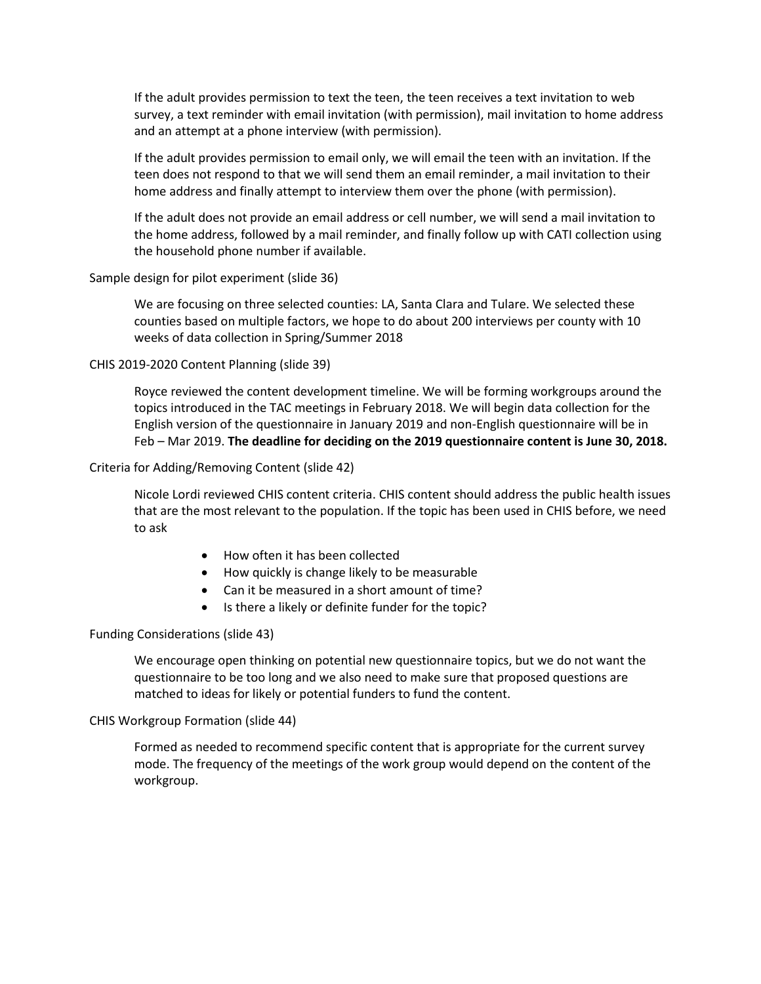If the adult provides permission to text the teen, the teen receives a text invitation to web survey, a text reminder with email invitation (with permission), mail invitation to home address and an attempt at a phone interview (with permission).

If the adult provides permission to email only, we will email the teen with an invitation. If the teen does not respond to that we will send them an email reminder, a mail invitation to their home address and finally attempt to interview them over the phone (with permission).

If the adult does not provide an email address or cell number, we will send a mail invitation to the home address, followed by a mail reminder, and finally follow up with CATI collection using the household phone number if available.

Sample design for pilot experiment (slide 36)

We are focusing on three selected counties: LA, Santa Clara and Tulare. We selected these counties based on multiple factors, we hope to do about 200 interviews per county with 10 weeks of data collection in Spring/Summer 2018

CHIS 2019-2020 Content Planning (slide 39)

Royce reviewed the content development timeline. We will be forming workgroups around the topics introduced in the TAC meetings in February 2018. We will begin data collection for the English version of the questionnaire in January 2019 and non-English questionnaire will be in Feb – Mar 2019. **The deadline for deciding on the 2019 questionnaire content is June 30, 2018.**

Criteria for Adding/Removing Content (slide 42)

Nicole Lordi reviewed CHIS content criteria. CHIS content should address the public health issues that are the most relevant to the population. If the topic has been used in CHIS before, we need to ask

- How often it has been collected
- How quickly is change likely to be measurable
- Can it be measured in a short amount of time?
- Is there a likely or definite funder for the topic?

#### Funding Considerations (slide 43)

We encourage open thinking on potential new questionnaire topics, but we do not want the questionnaire to be too long and we also need to make sure that proposed questions are matched to ideas for likely or potential funders to fund the content.

#### CHIS Workgroup Formation (slide 44)

Formed as needed to recommend specific content that is appropriate for the current survey mode. The frequency of the meetings of the work group would depend on the content of the workgroup.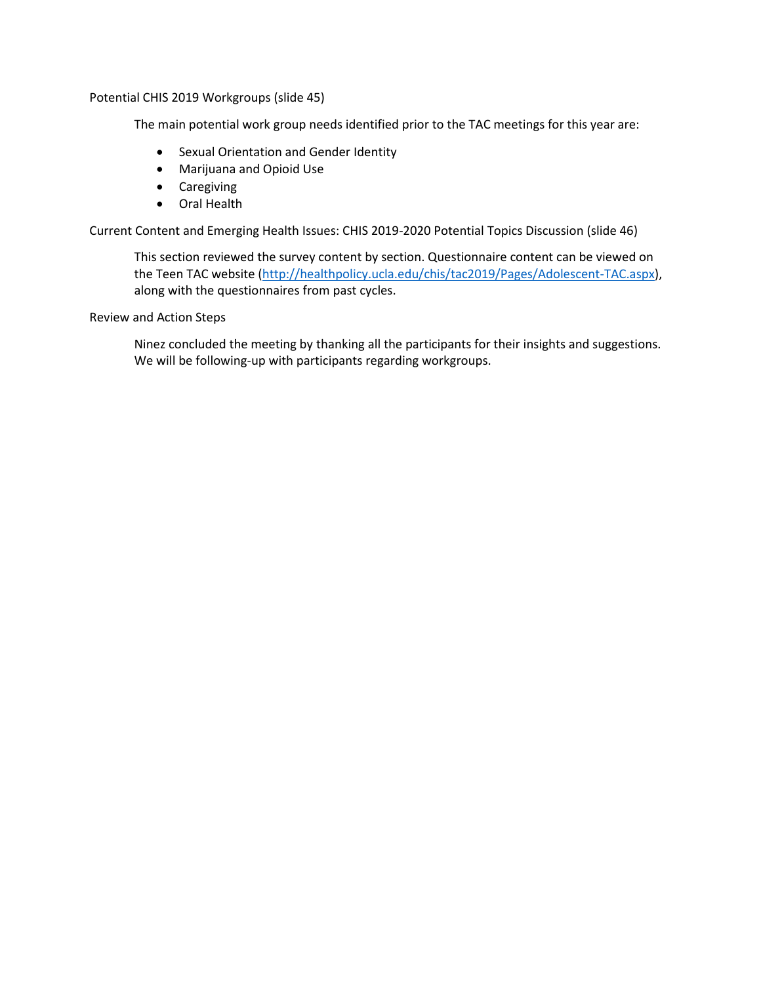Potential CHIS 2019 Workgroups (slide 45)

The main potential work group needs identified prior to the TAC meetings for this year are:

- **•** Sexual Orientation and Gender Identity
- Marijuana and Opioid Use
- **•** Caregiving
- Oral Health

Current Content and Emerging Health Issues: CHIS 2019-2020 Potential Topics Discussion (slide 46)

This section reviewed the survey content by section. Questionnaire content can be viewed on the Teen TAC website [\(http://healthpolicy.ucla.edu/chis/tac2019/Pages/Adolescent-TAC.aspx\)](http://healthpolicy.ucla.edu/chis/tac2019/Pages/Adolescent-TAC.aspx), along with the questionnaires from past cycles.

Review and Action Steps

Ninez concluded the meeting by thanking all the participants for their insights and suggestions. We will be following-up with participants regarding workgroups.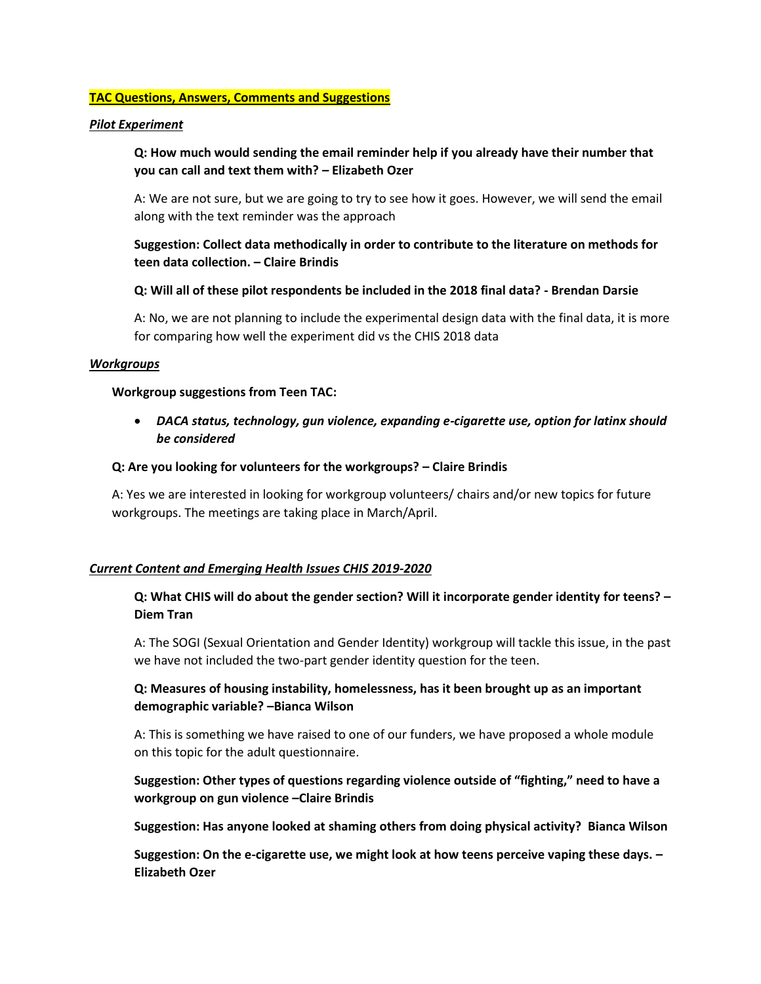## **TAC Questions, Answers, Comments and Suggestions**

#### *Pilot Experiment*

**Q: How much would sending the email reminder help if you already have their number that you can call and text them with? – Elizabeth Ozer** 

A: We are not sure, but we are going to try to see how it goes. However, we will send the email along with the text reminder was the approach

**Suggestion: Collect data methodically in order to contribute to the literature on methods for teen data collection. – Claire Brindis**

#### **Q: Will all of these pilot respondents be included in the 2018 final data? - Brendan Darsie**

A: No, we are not planning to include the experimental design data with the final data, it is more for comparing how well the experiment did vs the CHIS 2018 data

#### *Workgroups*

#### **Workgroup suggestions from Teen TAC:**

 *DACA status, technology, gun violence, expanding e-cigarette use, option for latinx should be considered* 

#### **Q: Are you looking for volunteers for the workgroups? – Claire Brindis**

A: Yes we are interested in looking for workgroup volunteers/ chairs and/or new topics for future workgroups. The meetings are taking place in March/April.

#### *Current Content and Emerging Health Issues CHIS 2019-2020*

# **Q: What CHIS will do about the gender section? Will it incorporate gender identity for teens? – Diem Tran**

A: The SOGI (Sexual Orientation and Gender Identity) workgroup will tackle this issue, in the past we have not included the two-part gender identity question for the teen.

# **Q: Measures of housing instability, homelessness, has it been brought up as an important demographic variable? –Bianca Wilson**

A: This is something we have raised to one of our funders, we have proposed a whole module on this topic for the adult questionnaire.

# **Suggestion: Other types of questions regarding violence outside of "fighting," need to have a workgroup on gun violence –Claire Brindis**

**Suggestion: Has anyone looked at shaming others from doing physical activity? Bianca Wilson**

**Suggestion: On the e-cigarette use, we might look at how teens perceive vaping these days. – Elizabeth Ozer**